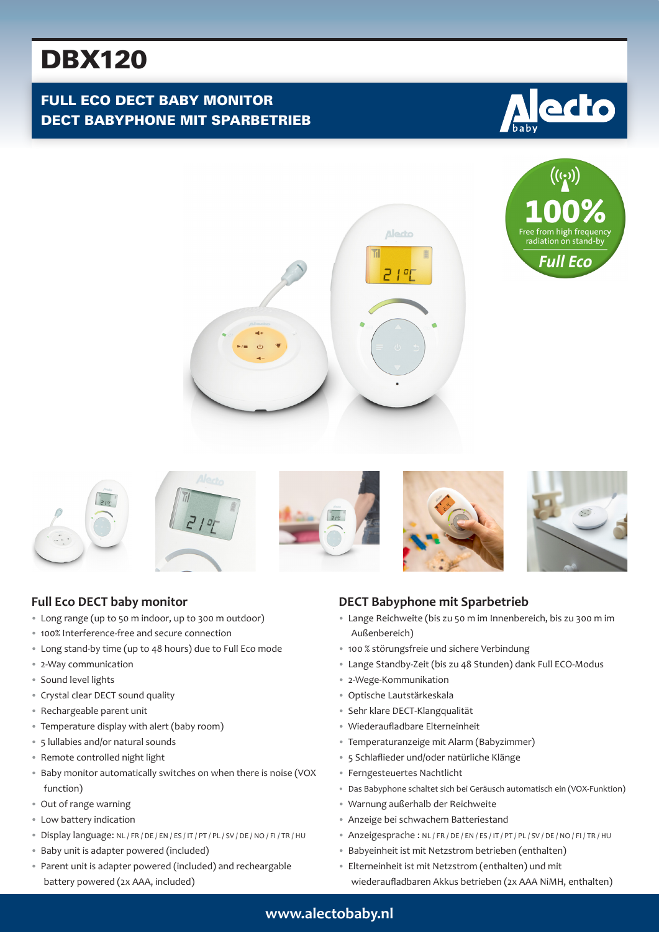# DBX120

# FULL ECO DECT BABY MONITOR DECT BABYPHONE MIT SPARBETRIEB









## **Full Eco DECT baby monitor**

- Long range (up to 50 m indoor, up to 300 m outdoor)
- 100% Interference-free and secure connection
- Long stand-by time (up to 48 hours) due to Full Eco mode
- 2-Way communication
- Sound level lights
- Crystal clear DECT sound quality
- Rechargeable parent unit
- Temperature display with alert (baby room)
- 5 lullabies and/or natural sounds
- Remote controlled night light
- Baby monitor automatically switches on when there is noise (VOX function)
- Out of range warning
- Low battery indication
- Display language: NL / FR / DE / EN / ES / IT / PT / PL / SV / DE / NO / FI / TR / HU
- Baby unit is adapter powered (included)
- Parent unit is adapter powered (included) and recheargable battery powered (2x AAA, included)

#### **DECT Babyphone mit Sparbetrieb**

- Lange Reichweite (bis zu 50 m im Innenbereich, bis zu 300 m im Außenbereich)
- 100 % störungsfreie und sichere Verbindung
- Lange Standby-Zeit (bis zu 48 Stunden) dank Full ECO-Modus
- 2-Wege-Kommunikation
- Optische Lautstärkeskala
- Sehr klare DECT-Klangqualität
- Wiederaufladbare Elterneinheit
- Temperaturanzeige mit Alarm (Babyzimmer)
- 5 Schlaflieder und/oder natürliche Klänge
- Ferngesteuertes Nachtlicht
- Das Babyphone schaltet sich bei Geräusch automatisch ein (VOX-Funktion)
- Warnung außerhalb der Reichweite
- Anzeige bei schwachem Batteriestand
- Anzeigesprache : NL / FR / DE / EN / ES / IT / PT / PL / SV / DE / NO / FI / TR / HU
- Babyeinheit ist mit Netzstrom betrieben (enthalten)
- Elterneinheit ist mit Netzstrom (enthalten) und mit
	- wiederaufladbaren Akkus betrieben (2x AAA NiMH, enthalten)